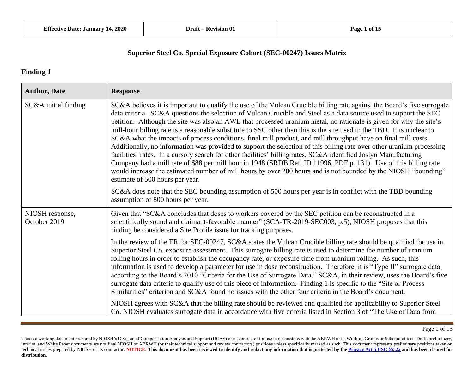#### **Finding 1**

| <b>Author, Date</b>             | <b>Response</b>                                                                                                                                                                                                                                                                                                                                                                                                                                                                                                                                                                                                                                                                                                                                                                                                                                                                                                                                                                                                                                                                                                                      |
|---------------------------------|--------------------------------------------------------------------------------------------------------------------------------------------------------------------------------------------------------------------------------------------------------------------------------------------------------------------------------------------------------------------------------------------------------------------------------------------------------------------------------------------------------------------------------------------------------------------------------------------------------------------------------------------------------------------------------------------------------------------------------------------------------------------------------------------------------------------------------------------------------------------------------------------------------------------------------------------------------------------------------------------------------------------------------------------------------------------------------------------------------------------------------------|
| SC&A initial finding            | SC&A believes it is important to qualify the use of the Vulcan Crucible billing rate against the Board's five surrogate<br>data criteria. SC&A questions the selection of Vulcan Crucible and Steel as a data source used to support the SEC<br>petition. Although the site was also an AWE that processed uranium metal, no rationale is given for why the site's<br>mill-hour billing rate is a reasonable substitute to SSC other than this is the site used in the TBD. It is unclear to<br>SC&A what the impacts of process conditions, final mill product, and mill throughput have on final mill costs.<br>Additionally, no information was provided to support the selection of this billing rate over other uranium processing<br>facilities' rates. In a cursory search for other facilities' billing rates, SC&A identified Joslyn Manufacturing<br>Company had a mill rate of \$88 per mill hour in 1948 (SRDB Ref. ID 11996, PDF p. 131). Use of this billing rate<br>would increase the estimated number of mill hours by over 200 hours and is not bounded by the NIOSH "bounding"<br>estimate of 500 hours per year. |
|                                 | SC&A does note that the SEC bounding assumption of 500 hours per year is in conflict with the TBD bounding<br>assumption of 800 hours per year.                                                                                                                                                                                                                                                                                                                                                                                                                                                                                                                                                                                                                                                                                                                                                                                                                                                                                                                                                                                      |
| NIOSH response,<br>October 2019 | Given that "SC&A concludes that doses to workers covered by the SEC petition can be reconstructed in a<br>scientifically sound and claimant-favorable manner" (SCA-TR-2019-SEC003, p.5), NIOSH proposes that this<br>finding be considered a Site Profile issue for tracking purposes.                                                                                                                                                                                                                                                                                                                                                                                                                                                                                                                                                                                                                                                                                                                                                                                                                                               |
|                                 | In the review of the ER for SEC-00247, SC&A states the Vulcan Crucible billing rate should be qualified for use in<br>Superior Steel Co. exposure assessment. This surrogate billing rate is used to determine the number of uranium<br>rolling hours in order to establish the occupancy rate, or exposure time from uranium rolling. As such, this<br>information is used to develop a parameter for use in dose reconstruction. Therefore, it is "Type II" surrogate data,<br>according to the Board's 2010 "Criteria for the Use of Surrogate Data." SC&A, in their review, uses the Board's five<br>surrogate data criteria to qualify use of this piece of information. Finding 1 is specific to the "Site or Process"<br>Similarities" criterion and SC&A found no issues with the other four criteria in the Board's document.                                                                                                                                                                                                                                                                                               |
|                                 | NIOSH agrees with SC&A that the billing rate should be reviewed and qualified for applicability to Superior Steel<br>Co. NIOSH evaluates surrogate data in accordance with five criteria listed in Section 3 of "The Use of Data from                                                                                                                                                                                                                                                                                                                                                                                                                                                                                                                                                                                                                                                                                                                                                                                                                                                                                                |

Page 1 of 15

This is a working document prepared by NIOSH's Division of Compensation Analysis and Support (DCAS) or its contractor for use in discussions with the ABRWH or its Working Groups or Subcommittees. Draft, preliminary, interim, and White Paper documents are not final NIOSH or ABRWH (or their technical support and review contractors) positions unless specifically marked as such. This document represents preliminary positions taken on technical issues prepared by NIOSH or its contractor. NOTICE: This document has been reviewed to identify and redact any information that is protected by the Privacy Act 5 USC \$552a and has been cleared for **distribution.**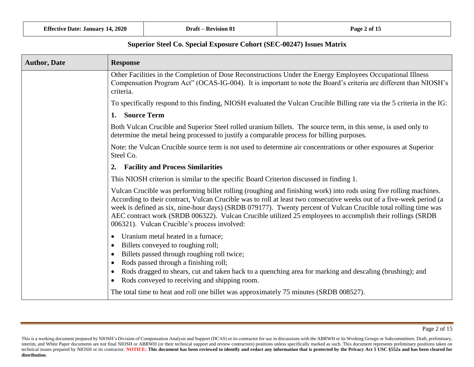| <b>Author, Date</b> | <b>Response</b>                                                                                                                                                                                                                                                                                                                                                                                                                                                                                                            |
|---------------------|----------------------------------------------------------------------------------------------------------------------------------------------------------------------------------------------------------------------------------------------------------------------------------------------------------------------------------------------------------------------------------------------------------------------------------------------------------------------------------------------------------------------------|
|                     | Other Facilities in the Completion of Dose Reconstructions Under the Energy Employees Occupational Illness<br>Compensation Program Act" (OCAS-IG-004). It is important to note the Board's criteria are different than NIOSH's<br>criteria.                                                                                                                                                                                                                                                                                |
|                     | To specifically respond to this finding, NIOSH evaluated the Vulcan Crucible Billing rate via the 5 criteria in the IG:                                                                                                                                                                                                                                                                                                                                                                                                    |
|                     | 1. Source Term                                                                                                                                                                                                                                                                                                                                                                                                                                                                                                             |
|                     | Both Vulcan Crucible and Superior Steel rolled uranium billets. The source term, in this sense, is used only to<br>determine the metal being processed to justify a comparable process for billing purposes.                                                                                                                                                                                                                                                                                                               |
|                     | Note: the Vulcan Crucible source term is not used to determine air concentrations or other exposures at Superior<br>Steel Co.                                                                                                                                                                                                                                                                                                                                                                                              |
|                     | <b>Facility and Process Similarities</b><br>2.                                                                                                                                                                                                                                                                                                                                                                                                                                                                             |
|                     | This NIOSH criterion is similar to the specific Board Criterion discussed in finding 1.                                                                                                                                                                                                                                                                                                                                                                                                                                    |
|                     | Vulcan Crucible was performing billet rolling (roughing and finishing work) into rods using five rolling machines.<br>According to their contract, Vulcan Crucible was to roll at least two consecutive weeks out of a five-week period (a<br>week is defined as six, nine-hour days) (SRDB 079177). Twenty percent of Vulcan Crucible total rolling time was<br>AEC contract work (SRDB 006322). Vulcan Crucible utilized 25 employees to accomplish their rollings (SRDB<br>006321). Vulcan Crucible's process involved: |
|                     | Uranium metal heated in a furnace;<br>$\bullet$<br>Billets conveyed to roughing roll;<br>$\bullet$<br>Billets passed through roughing roll twice;<br>Rods passed through a finishing roll;<br>$\bullet$<br>Rods dragged to shears, cut and taken back to a quenching area for marking and descaling (brushing); and<br>Rods conveyed to receiving and shipping room.<br>$\bullet$                                                                                                                                          |
|                     | The total time to heat and roll one billet was approximately 75 minutes (SRDB 008527).                                                                                                                                                                                                                                                                                                                                                                                                                                     |

This is a working document prepared by NIOSH's Division of Compensation Analysis and Support (DCAS) or its contractor for use in discussions with the ABRWH or its Working Groups or Subcommittees. Draft, preliminary, interim, and White Paper documents are not final NIOSH or ABRWH (or their technical support and review contractors) positions unless specifically marked as such. This document represents preliminary positions taken on technical issues prepared by NIOSH or its contractor. NOTICE: This document has been reviewed to identify and redact any information that is protected by the Privacy Act 5 USC §552a and has been cleared for **distribution**.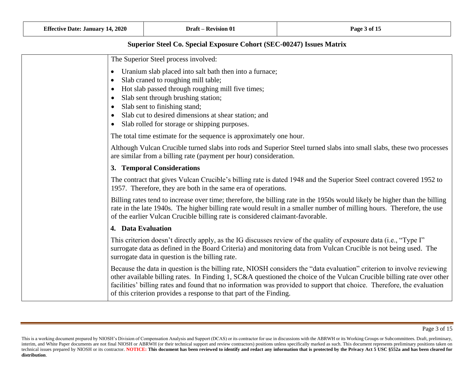| The Superior Steel process involved:                                                                                                                                                                                                                                                                                                                                                                                                             |
|--------------------------------------------------------------------------------------------------------------------------------------------------------------------------------------------------------------------------------------------------------------------------------------------------------------------------------------------------------------------------------------------------------------------------------------------------|
|                                                                                                                                                                                                                                                                                                                                                                                                                                                  |
| Uranium slab placed into salt bath then into a furnace;<br>$\bullet$                                                                                                                                                                                                                                                                                                                                                                             |
| Slab craned to roughing mill table;<br>$\bullet$                                                                                                                                                                                                                                                                                                                                                                                                 |
| Hot slab passed through roughing mill five times;                                                                                                                                                                                                                                                                                                                                                                                                |
| Slab sent through brushing station;<br>$\bullet$                                                                                                                                                                                                                                                                                                                                                                                                 |
| Slab sent to finishing stand;<br>$\bullet$                                                                                                                                                                                                                                                                                                                                                                                                       |
| Slab cut to desired dimensions at shear station; and                                                                                                                                                                                                                                                                                                                                                                                             |
| Slab rolled for storage or shipping purposes.<br>$\bullet$                                                                                                                                                                                                                                                                                                                                                                                       |
| The total time estimate for the sequence is approximately one hour.                                                                                                                                                                                                                                                                                                                                                                              |
| Although Vulcan Crucible turned slabs into rods and Superior Steel turned slabs into small slabs, these two processes<br>are similar from a billing rate (payment per hour) consideration.                                                                                                                                                                                                                                                       |
| 3. Temporal Considerations                                                                                                                                                                                                                                                                                                                                                                                                                       |
| The contract that gives Vulcan Crucible's billing rate is dated 1948 and the Superior Steel contract covered 1952 to<br>1957. Therefore, they are both in the same era of operations.                                                                                                                                                                                                                                                            |
| Billing rates tend to increase over time; therefore, the billing rate in the 1950s would likely be higher than the billing<br>rate in the late 1940s. The higher billing rate would result in a smaller number of milling hours. Therefore, the use<br>of the earlier Vulcan Crucible billing rate is considered claimant-favorable.                                                                                                             |
| 4. Data Evaluation                                                                                                                                                                                                                                                                                                                                                                                                                               |
| This criterion doesn't directly apply, as the IG discusses review of the quality of exposure data (i.e., "Type I"<br>surrogate data as defined in the Board Criteria) and monitoring data from Vulcan Crucible is not being used. The<br>surrogate data in question is the billing rate.                                                                                                                                                         |
| Because the data in question is the billing rate, NIOSH considers the "data evaluation" criterion to involve reviewing<br>other available billing rates. In Finding 1, SC&A questioned the choice of the Vulcan Crucible billing rate over other<br>facilities' billing rates and found that no information was provided to support that choice. Therefore, the evaluation<br>of this criterion provides a response to that part of the Finding. |

This is a working document prepared by NIOSH's Division of Compensation Analysis and Support (DCAS) or its contractor for use in discussions with the ABRWH or its Working Groups or Subcommittees. Draft, preliminary, interim, and White Paper documents are not final NIOSH or ABRWH (or their technical support and review contractors) positions unless specifically marked as such. This document represents preliminary positions taken on technical issues prepared by NIOSH or its contractor. NOTICE: This document has been reviewed to identify and redact any information that is protected by the Privacy Act 5 USC §552a and has been cleared for **distribution**.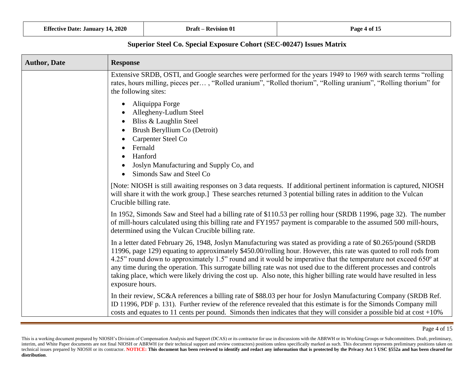| <b>Author, Date</b> | <b>Response</b>                                                                                                                                                                                                                                                                                                                                                                                                                                                                                                                                                                                                                    |
|---------------------|------------------------------------------------------------------------------------------------------------------------------------------------------------------------------------------------------------------------------------------------------------------------------------------------------------------------------------------------------------------------------------------------------------------------------------------------------------------------------------------------------------------------------------------------------------------------------------------------------------------------------------|
|                     | Extensive SRDB, OSTI, and Google searches were performed for the years 1949 to 1969 with search terms "rolling<br>rates, hours milling, pieces per, "Rolled uranium", "Rolled thorium", "Rolling uranium", "Rolling thorium" for<br>the following sites:                                                                                                                                                                                                                                                                                                                                                                           |
|                     | Aliquippa Forge<br>Allegheny-Ludlum Steel<br>Bliss & Laughlin Steel<br>Brush Beryllium Co (Detroit)<br>Carpenter Steel Co<br>Fernald<br>Hanford<br>Joslyn Manufacturing and Supply Co, and<br>Simonds Saw and Steel Co                                                                                                                                                                                                                                                                                                                                                                                                             |
|                     | [Note: NIOSH is still awaiting responses on 3 data requests. If additional pertinent information is captured, NIOSH<br>will share it with the work group.] These searches returned 3 potential billing rates in addition to the Vulcan<br>Crucible billing rate.                                                                                                                                                                                                                                                                                                                                                                   |
|                     | In 1952, Simonds Saw and Steel had a billing rate of \$110.53 per rolling hour (SRDB 11996, page 32). The number<br>of mill-hours calculated using this billing rate and FY1957 payment is comparable to the assumed 500 mill-hours,<br>determined using the Vulcan Crucible billing rate.                                                                                                                                                                                                                                                                                                                                         |
|                     | In a letter dated February 26, 1948, Joslyn Manufacturing was stated as providing a rate of \$0.265/pound (SRDB<br>11996, page 129) equating to approximately \$450.00/rolling hour. However, this rate was quoted to roll rods from<br>4.25" round down to approximately 1.5" round and it would be imperative that the temperature not exceed $650^{\circ}$ at<br>any time during the operation. This surrogate billing rate was not used due to the different processes and controls<br>taking place, which were likely driving the cost up. Also note, this higher billing rate would have resulted in less<br>exposure hours. |
|                     | In their review, SC&A references a billing rate of \$88.03 per hour for Joslyn Manufacturing Company (SRDB Ref.<br>ID 11996, PDF p. 131). Further review of the reference revealed that this estimate is for the Simonds Company mill<br>costs and equates to 11 cents per pound. Simonds then indicates that they will consider a possible bid at $\cos t + 10\%$                                                                                                                                                                                                                                                                 |

Page 4 of 15

This is a working document prepared by NIOSH's Division of Compensation Analysis and Support (DCAS) or its contractor for use in discussions with the ABRWH or its Working Groups or Subcommittees. Draft, preliminary, interim, and White Paper documents are not final NIOSH or ABRWH (or their technical support and review contractors) positions unless specifically marked as such. This document represents preliminary positions taken on technical issues prepared by NIOSH or its contractor. NOTICE: This document has been reviewed to identify and redact any information that is protected by the Privacy Act 5 USC §552a and has been cleared for **distribution**.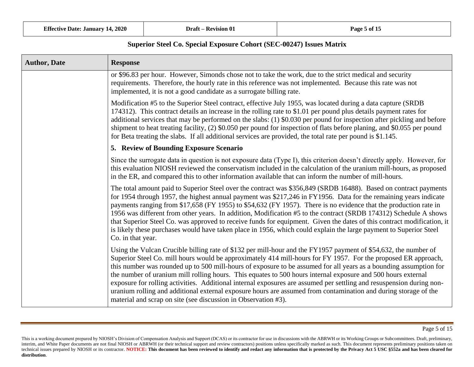| <b>Author, Date</b> | <b>Response</b>                                                                                                                                                                                                                                                                                                                                                                                                                                                                                                                                                                                                                                                                                                                                                                     |
|---------------------|-------------------------------------------------------------------------------------------------------------------------------------------------------------------------------------------------------------------------------------------------------------------------------------------------------------------------------------------------------------------------------------------------------------------------------------------------------------------------------------------------------------------------------------------------------------------------------------------------------------------------------------------------------------------------------------------------------------------------------------------------------------------------------------|
|                     | or \$96.83 per hour. However, Simonds chose not to take the work, due to the strict medical and security<br>requirements. Therefore, the hourly rate in this reference was not implemented. Because this rate was not<br>implemented, it is not a good candidate as a surrogate billing rate.                                                                                                                                                                                                                                                                                                                                                                                                                                                                                       |
|                     | Modification #5 to the Superior Steel contract, effective July 1955, was located during a data capture (SRDB)<br>174312). This contract details an increase in the rolling rate to \$1.01 per pound plus details payment rates for<br>additional services that may be performed on the slabs: (1) \$0.030 per pound for inspection after pickling and before<br>shipment to heat treating facility, (2) \$0.050 per pound for inspection of flats before planing, and \$0.055 per pound<br>for Beta treating the slabs. If all additional services are provided, the total rate per pound is \$1.145.                                                                                                                                                                               |
|                     | 5. Review of Bounding Exposure Scenario                                                                                                                                                                                                                                                                                                                                                                                                                                                                                                                                                                                                                                                                                                                                             |
|                     | Since the surrogate data in question is not exposure data (Type I), this criterion doesn't directly apply. However, for<br>this evaluation NIOSH reviewed the conservatism included in the calculation of the uranium mill-hours, as proposed<br>in the ER, and compared this to other information available that can inform the number of mill-hours.                                                                                                                                                                                                                                                                                                                                                                                                                              |
|                     | The total amount paid to Superior Steel over the contract was \$356,849 (SRDB 16488). Based on contract payments<br>for 1954 through 1957, the highest annual payment was \$217,246 in FY1956. Data for the remaining years indicate<br>payments ranging from \$17,658 (FY 1955) to \$54,632 (FY 1957). There is no evidence that the production rate in<br>1956 was different from other years. In addition, Modification #5 to the contract (SRDB 174312) Schedule A shows<br>that Superior Steel Co. was approved to receive funds for equipment. Given the dates of this contract modification, it<br>is likely these purchases would have taken place in 1956, which could explain the large payment to Superior Steel<br>Co. in that year.                                    |
|                     | Using the Vulcan Crucible billing rate of \$132 per mill-hour and the FY1957 payment of \$54,632, the number of<br>Superior Steel Co. mill hours would be approximately 414 mill-hours for FY 1957. For the proposed ER approach,<br>this number was rounded up to 500 mill-hours of exposure to be assumed for all years as a bounding assumption for<br>the number of uranium mill rolling hours. This equates to 500 hours internal exposure and 500 hours external<br>exposure for rolling activities. Additional internal exposures are assumed per settling and resuspension during non-<br>uranium rolling and additional external exposure hours are assumed from contamination and during storage of the<br>material and scrap on site (see discussion in Observation #3). |

This is a working document prepared by NIOSH's Division of Compensation Analysis and Support (DCAS) or its contractor for use in discussions with the ABRWH or its Working Groups or Subcommittees. Draft, preliminary, interim, and White Paper documents are not final NIOSH or ABRWH (or their technical support and review contractors) positions unless specifically marked as such. This document represents preliminary positions taken on technical issues prepared by NIOSH or its contractor. NOTICE: This document has been reviewed to identify and redact any information that is protected by the Privacy Act 5 USC §552a and has been cleared for **distribution**.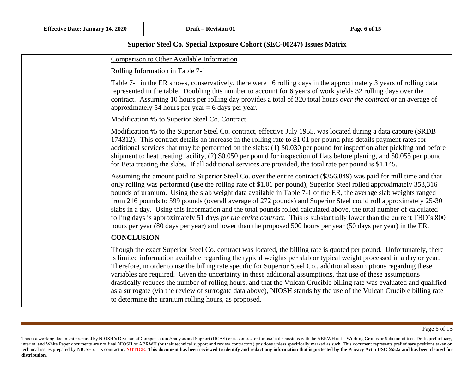| <b>Comparison to Other Available Information</b>                                                                                                                                                                                                                                                                                                                                                                                                                                                                                                                                                                                                                                                                                                                                                                                                  |
|---------------------------------------------------------------------------------------------------------------------------------------------------------------------------------------------------------------------------------------------------------------------------------------------------------------------------------------------------------------------------------------------------------------------------------------------------------------------------------------------------------------------------------------------------------------------------------------------------------------------------------------------------------------------------------------------------------------------------------------------------------------------------------------------------------------------------------------------------|
| Rolling Information in Table 7-1                                                                                                                                                                                                                                                                                                                                                                                                                                                                                                                                                                                                                                                                                                                                                                                                                  |
| Table 7-1 in the ER shows, conservatively, there were 16 rolling days in the approximately 3 years of rolling data<br>represented in the table. Doubling this number to account for 6 years of work yields 32 rolling days over the<br>contract. Assuming 10 hours per rolling day provides a total of 320 total hours over the contract or an average of<br>approximately 54 hours per year $= 6$ days per year.                                                                                                                                                                                                                                                                                                                                                                                                                                 |
| Modification #5 to Superior Steel Co. Contract                                                                                                                                                                                                                                                                                                                                                                                                                                                                                                                                                                                                                                                                                                                                                                                                    |
| Modification #5 to the Superior Steel Co. contract, effective July 1955, was located during a data capture (SRDB<br>174312). This contract details an increase in the rolling rate to \$1.01 per pound plus details payment rates for<br>additional services that may be performed on the slabs: (1) \$0.030 per pound for inspection after pickling and before<br>shipment to heat treating facility, (2) \$0.050 per pound for inspection of flats before planing, and \$0.055 per pound<br>for Beta treating the slabs. If all additional services are provided, the total rate per pound is \$1.145.                                                                                                                                                                                                                                          |
| Assuming the amount paid to Superior Steel Co. over the entire contract (\$356,849) was paid for mill time and that<br>only rolling was performed (use the rolling rate of \$1.01 per pound), Superior Steel rolled approximately 353,316<br>pounds of uranium. Using the slab weight data available in Table 7-1 of the ER, the average slab weights ranged<br>from 216 pounds to 599 pounds (overall average of 272 pounds) and Superior Steel could roll approximately 25-30<br>slabs in a day. Using this information and the total pounds rolled calculated above, the total number of calculated<br>rolling days is approximately 51 days for the entire contract. This is substantially lower than the current TBD's 800<br>hours per year (80 days per year) and lower than the proposed 500 hours per year (50 days per year) in the ER. |
| <b>CONCLUSION</b>                                                                                                                                                                                                                                                                                                                                                                                                                                                                                                                                                                                                                                                                                                                                                                                                                                 |
| Though the exact Superior Steel Co. contract was located, the billing rate is quoted per pound. Unfortunately, there<br>is limited information available regarding the typical weights per slab or typical weight processed in a day or year.<br>Therefore, in order to use the billing rate specific for Superior Steel Co., additional assumptions regarding these<br>variables are required. Given the uncertainty in these additional assumptions, that use of these assumptions<br>drastically reduces the number of rolling hours, and that the Vulcan Crucible billing rate was evaluated and qualified<br>as a surrogate (via the review of surrogate data above), NIOSH stands by the use of the Vulcan Crucible billing rate<br>to determine the uranium rolling hours, as proposed.                                                    |

This is a working document prepared by NIOSH's Division of Compensation Analysis and Support (DCAS) or its contractor for use in discussions with the ABRWH or its Working Groups or Subcommittees. Draft, preliminary, interim, and White Paper documents are not final NIOSH or ABRWH (or their technical support and review contractors) positions unless specifically marked as such. This document represents preliminary positions taken on technical issues prepared by NIOSH or its contractor. NOTICE: This document has been reviewed to identify and redact any information that is protected by the Privacy Act 5 USC §552a and has been cleared for **distribution**.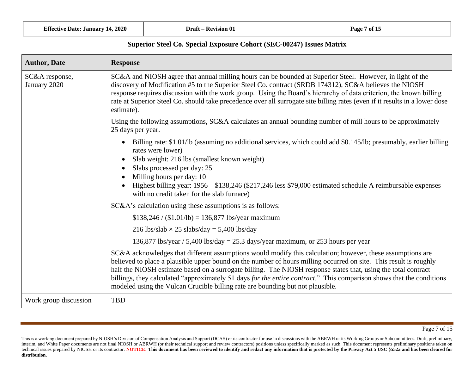| <b>Author, Date</b>            | <b>Response</b>                                                                                                                                                                                                                                                                                                                                                                                                                                                                                                                                             |
|--------------------------------|-------------------------------------------------------------------------------------------------------------------------------------------------------------------------------------------------------------------------------------------------------------------------------------------------------------------------------------------------------------------------------------------------------------------------------------------------------------------------------------------------------------------------------------------------------------|
| SC&A response,<br>January 2020 | SC&A and NIOSH agree that annual milling hours can be bounded at Superior Steel. However, in light of the<br>discovery of Modification #5 to the Superior Steel Co. contract (SRDB 174312), SC&A believes the NIOSH<br>response requires discussion with the work group. Using the Board's hierarchy of data criterion, the known billing<br>rate at Superior Steel Co. should take precedence over all surrogate site billing rates (even if it results in a lower dose<br>estimate).                                                                      |
|                                | Using the following assumptions, SC&A calculates an annual bounding number of mill hours to be approximately<br>25 days per year.                                                                                                                                                                                                                                                                                                                                                                                                                           |
|                                | Billing rate: \$1.01/lb (assuming no additional services, which could add \$0.145/lb; presumably, earlier billing<br>$\bullet$<br>rates were lower)<br>Slab weight: 216 lbs (smallest known weight)                                                                                                                                                                                                                                                                                                                                                         |
|                                | Slabs processed per day: 25                                                                                                                                                                                                                                                                                                                                                                                                                                                                                                                                 |
|                                | Milling hours per day: 10                                                                                                                                                                                                                                                                                                                                                                                                                                                                                                                                   |
|                                | Highest billing year: 1956 - \$138,246 (\$217,246 less \$79,000 estimated schedule A reimbursable expenses<br>with no credit taken for the slab furnace)                                                                                                                                                                                                                                                                                                                                                                                                    |
|                                | SC&A's calculation using these assumptions is as follows:                                                                                                                                                                                                                                                                                                                                                                                                                                                                                                   |
|                                | $$138,246 / ($1.01/lb) = 136,877$ lbs/year maximum                                                                                                                                                                                                                                                                                                                                                                                                                                                                                                          |
|                                | 216 lbs/slab $\times$ 25 slabs/day = 5,400 lbs/day                                                                                                                                                                                                                                                                                                                                                                                                                                                                                                          |
|                                | 136,877 lbs/year / 5,400 lbs/day = 25.3 days/year maximum, or 253 hours per year                                                                                                                                                                                                                                                                                                                                                                                                                                                                            |
|                                | SC&A acknowledges that different assumptions would modify this calculation; however, these assumptions are<br>believed to place a plausible upper bound on the number of hours milling occurred on site. This result is roughly<br>half the NIOSH estimate based on a surrogate billing. The NIOSH response states that, using the total contract<br>billings, they calculated "approximately 51 days for the entire contract." This comparison shows that the conditions<br>modeled using the Vulcan Crucible billing rate are bounding but not plausible. |
| Work group discussion          | <b>TBD</b>                                                                                                                                                                                                                                                                                                                                                                                                                                                                                                                                                  |

This is a working document prepared by NIOSH's Division of Compensation Analysis and Support (DCAS) or its contractor for use in discussions with the ABRWH or its Working Groups or Subcommittees. Draft, preliminary, interim, and White Paper documents are not final NIOSH or ABRWH (or their technical support and review contractors) positions unless specifically marked as such. This document represents preliminary positions taken on technical issues prepared by NIOSH or its contractor. NOTICE: This document has been reviewed to identify and redact any information that is protected by the Privacy Act 5 USC §552a and has been cleared for **distribution**.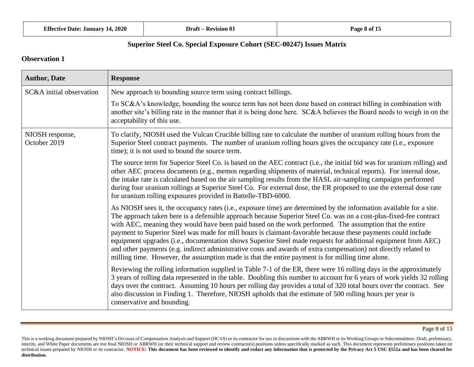|  | <b>Effective Date: January 14, 2020</b> |  |  |  |  |
|--|-----------------------------------------|--|--|--|--|
|--|-----------------------------------------|--|--|--|--|

| <b>Author, Date</b>             | <b>Response</b>                                                                                                                                                                                                                                                                                                                                                                                                                                                                                                                                                                                                                                                                                                                                                                                              |
|---------------------------------|--------------------------------------------------------------------------------------------------------------------------------------------------------------------------------------------------------------------------------------------------------------------------------------------------------------------------------------------------------------------------------------------------------------------------------------------------------------------------------------------------------------------------------------------------------------------------------------------------------------------------------------------------------------------------------------------------------------------------------------------------------------------------------------------------------------|
| SC&A initial observation        | New approach to bounding source term using contract billings.                                                                                                                                                                                                                                                                                                                                                                                                                                                                                                                                                                                                                                                                                                                                                |
|                                 | To SC&A's knowledge, bounding the source term has not been done based on contract billing in combination with<br>another site's billing rate in the manner that it is being done here. SC&A believes the Board needs to weigh in on the<br>acceptability of this use.                                                                                                                                                                                                                                                                                                                                                                                                                                                                                                                                        |
| NIOSH response,<br>October 2019 | To clarify, NIOSH used the Vulcan Crucible billing rate to calculate the number of uranium rolling hours from the<br>Superior Steel contract payments. The number of uranium rolling hours gives the occupancy rate (i.e., exposure<br>time); it is not used to bound the source term.                                                                                                                                                                                                                                                                                                                                                                                                                                                                                                                       |
|                                 | The source term for Superior Steel Co. is based on the AEC contract (i.e., the initial bid was for uranium rolling) and<br>other AEC process documents (e.g., memos regarding shipments of material, technical reports). For internal dose,<br>the intake rate is calculated based on the air sampling results from the HASL air-sampling campaigns performed<br>during four uranium rollings at Superior Steel Co. For external dose, the ER proposed to use the external dose rate<br>for uranium rolling exposures provided in Battelle-TBD-6000.                                                                                                                                                                                                                                                         |
|                                 | As NIOSH sees it, the occupancy rates (i.e., exposure time) are determined by the information available for a site.<br>The approach taken here is a defensible approach because Superior Steel Co. was on a cost-plus-fixed-fee contract<br>with AEC, meaning they would have been paid based on the work performed. The assumption that the entire<br>payment to Superior Steel was made for mill hours is claimant-favorable because these payments could include<br>equipment upgrades (i.e., documentation shows Superior Steel made requests for additional equipment from AEC)<br>and other payments (e.g. indirect administrative costs and awards of extra compensation) not directly related to<br>milling time. However, the assumption made is that the entire payment is for milling time alone. |
|                                 | Reviewing the rolling information supplied in Table 7-1 of the ER, there were 16 rolling days in the approximately<br>3 years of rolling data represented in the table. Doubling this number to account for 6 years of work yields 32 rolling<br>days over the contract. Assuming 10 hours per rolling day provides a total of 320 total hours over the contract. See<br>also discussion in Finding 1. Therefore, NIOSH upholds that the estimate of 500 rolling hours per year is<br>conservative and bounding.                                                                                                                                                                                                                                                                                             |

This is a working document prepared by NIOSH's Division of Compensation Analysis and Support (DCAS) or its contractor for use in discussions with the ABRWH or its Working Groups or Subcommittees. Draft, preliminary, interim, and White Paper documents are not final NIOSH or ABRWH (or their technical support and review contractors) positions unless specifically marked as such. This document represents preliminary positions taken on technical issues prepared by NIOSH or its contractor. NOTICE: This document has been reviewed to identify and redact any information that is protected by the Privacy Act 5 USC §552a and has been cleared for **distribution**.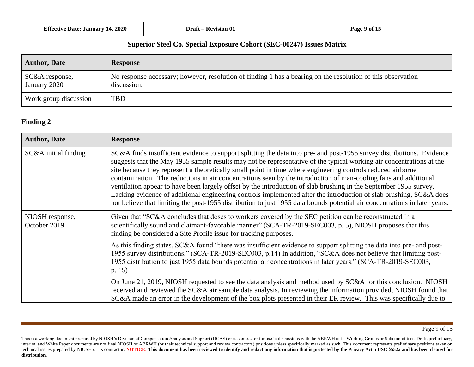| <b>Effective Date: January 14, 2020</b> | Draft -<br>- Revision 01 | Page 9 of 1. |
|-----------------------------------------|--------------------------|--------------|
|-----------------------------------------|--------------------------|--------------|

| <b>Author, Date</b>            | <b>Response</b>                                                                                                            |
|--------------------------------|----------------------------------------------------------------------------------------------------------------------------|
| SC&A response,<br>January 2020 | No response necessary; however, resolution of finding 1 has a bearing on the resolution of this observation<br>discussion. |
| Work group discussion          | <b>TBD</b>                                                                                                                 |

# **Finding 2**

| <b>Author, Date</b>             | <b>Response</b>                                                                                                                                                                                                                                                                                                                                                                                                                                                                                                                                                                                                                                                                                                                                                                                                                                          |
|---------------------------------|----------------------------------------------------------------------------------------------------------------------------------------------------------------------------------------------------------------------------------------------------------------------------------------------------------------------------------------------------------------------------------------------------------------------------------------------------------------------------------------------------------------------------------------------------------------------------------------------------------------------------------------------------------------------------------------------------------------------------------------------------------------------------------------------------------------------------------------------------------|
| $SC&A$ initial finding          | SC&A finds insufficient evidence to support splitting the data into pre- and post-1955 survey distributions. Evidence<br>suggests that the May 1955 sample results may not be representative of the typical working air concentrations at the<br>site because they represent a theoretically small point in time where engineering controls reduced airborne<br>contamination. The reductions in air concentrations seen by the introduction of man-cooling fans and additional<br>ventilation appear to have been largely offset by the introduction of slab brushing in the September 1955 survey.<br>Lacking evidence of additional engineering controls implemented after the introduction of slab brushing, SC&A does<br>not believe that limiting the post-1955 distribution to just 1955 data bounds potential air concentrations in later years. |
| NIOSH response,<br>October 2019 | Given that "SC&A concludes that doses to workers covered by the SEC petition can be reconstructed in a<br>scientifically sound and claimant-favorable manner" (SCA-TR-2019-SEC003, p. 5), NIOSH proposes that this<br>finding be considered a Site Profile issue for tracking purposes.                                                                                                                                                                                                                                                                                                                                                                                                                                                                                                                                                                  |
|                                 | As this finding states, SC&A found "there was insufficient evidence to support splitting the data into pre- and post-<br>1955 survey distributions." (SCA-TR-2019-SEC003, p.14) In addition, "SC&A does not believe that limiting post-<br>1955 distribution to just 1955 data bounds potential air concentrations in later years." (SCA-TR-2019-SEC003,<br>p. 15)                                                                                                                                                                                                                                                                                                                                                                                                                                                                                       |
|                                 | On June 21, 2019, NIOSH requested to see the data analysis and method used by SC&A for this conclusion. NIOSH<br>received and reviewed the SC&A air sample data analysis. In reviewing the information provided, NIOSH found that<br>SC&A made an error in the development of the box plots presented in their ER review. This was specifically due to                                                                                                                                                                                                                                                                                                                                                                                                                                                                                                   |

This is a working document prepared by NIOSH's Division of Compensation Analysis and Support (DCAS) or its contractor for use in discussions with the ABRWH or its Working Groups or Subcommittees. Draft, preliminary, interim, and White Paper documents are not final NIOSH or ABRWH (or their technical support and review contractors) positions unless specifically marked as such. This document represents preliminary positions taken on technical issues prepared by NIOSH or its contractor. NOTICE: This document has been reviewed to identify and redact any information that is protected by the Privacy Act 5 USC §552a and has been cleared for **distribution**.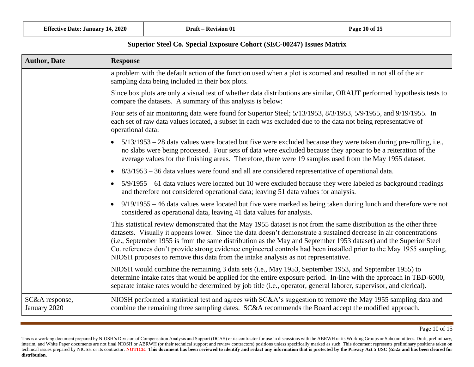| <b>Author, Date</b>            | <b>Response</b>                                                                                                                                                                                                                                                                                                                                                                                                                                                                                                                                                             |
|--------------------------------|-----------------------------------------------------------------------------------------------------------------------------------------------------------------------------------------------------------------------------------------------------------------------------------------------------------------------------------------------------------------------------------------------------------------------------------------------------------------------------------------------------------------------------------------------------------------------------|
|                                | a problem with the default action of the function used when a plot is zoomed and resulted in not all of the air<br>sampling data being included in their box plots.                                                                                                                                                                                                                                                                                                                                                                                                         |
|                                | Since box plots are only a visual test of whether data distributions are similar, ORAUT performed hypothesis tests to<br>compare the datasets. A summary of this analysis is below:                                                                                                                                                                                                                                                                                                                                                                                         |
|                                | Four sets of air monitoring data were found for Superior Steel; 5/13/1953, 8/3/1953, 5/9/1955, and 9/19/1955. In<br>each set of raw data values located, a subset in each was excluded due to the data not being representative of<br>operational data:                                                                                                                                                                                                                                                                                                                     |
|                                | • $5/13/1953 - 28$ data values were located but five were excluded because they were taken during pre-rolling, i.e.,<br>no slabs were being processed. Four sets of data were excluded because they appear to be a reiteration of the<br>average values for the finishing areas. Therefore, there were 19 samples used from the May 1955 dataset.                                                                                                                                                                                                                           |
|                                | $8/3/1953 - 36$ data values were found and all are considered representative of operational data.<br>$\bullet$                                                                                                                                                                                                                                                                                                                                                                                                                                                              |
|                                | • $5/9/1955 - 61$ data values were located but 10 were excluded because they were labeled as background readings<br>and therefore not considered operational data; leaving 51 data values for analysis.                                                                                                                                                                                                                                                                                                                                                                     |
|                                | • $9/19/1955 - 46$ data values were located but five were marked as being taken during lunch and therefore were not<br>considered as operational data, leaving 41 data values for analysis.                                                                                                                                                                                                                                                                                                                                                                                 |
|                                | This statistical review demonstrated that the May 1955 dataset is not from the same distribution as the other three<br>datasets. Visually it appears lower. Since the data doesn't demonstrate a sustained decrease in air concentrations<br>(i.e., September 1955 is from the same distribution as the May and September 1953 dataset) and the Superior Steel<br>Co. references don't provide strong evidence engineered controls had been installed prior to the May 1955 sampling,<br>NIOSH proposes to remove this data from the intake analysis as not representative. |
|                                | NIOSH would combine the remaining 3 data sets (i.e., May 1953, September 1953, and September 1955) to<br>determine intake rates that would be applied for the entire exposure period. In-line with the approach in TBD-6000,<br>separate intake rates would be determined by job title (i.e., operator, general laborer, supervisor, and clerical).                                                                                                                                                                                                                         |
| SC&A response,<br>January 2020 | NIOSH performed a statistical test and agrees with SC&A's suggestion to remove the May 1955 sampling data and<br>combine the remaining three sampling dates. SC&A recommends the Board accept the modified approach.                                                                                                                                                                                                                                                                                                                                                        |

This is a working document prepared by NIOSH's Division of Compensation Analysis and Support (DCAS) or its contractor for use in discussions with the ABRWH or its Working Groups or Subcommittees. Draft, preliminary, interim, and White Paper documents are not final NIOSH or ABRWH (or their technical support and review contractors) positions unless specifically marked as such. This document represents preliminary positions taken on technical issues prepared by NIOSH or its contractor. NOTICE: This document has been reviewed to identify and redact any information that is protected by the Privacy Act 5 USC §552a and has been cleared for **distribution**.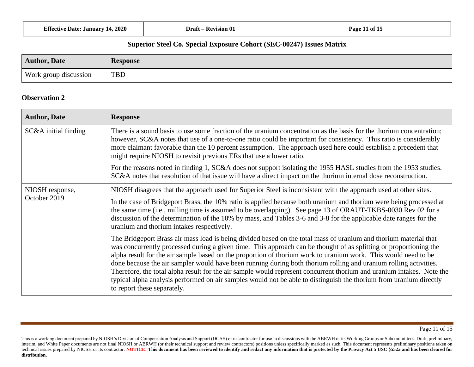| <b>Effective Date: January 14, 2020</b> | Draft -         | $\mathbf{a}$  |
|-----------------------------------------|-----------------|---------------|
|                                         | : — Revision 01 | Page 11 of 15 |
|                                         |                 |               |

| <b>Author, Date</b>   | <b>Response</b> |
|-----------------------|-----------------|
| Work group discussion | <b>TBD</b>      |

| <b>Author, Date</b>             | <b>Response</b>                                                                                                                                                                                                                                                                                                                                                                                                                                                                                                                                                                                                                                                                                                                                           |
|---------------------------------|-----------------------------------------------------------------------------------------------------------------------------------------------------------------------------------------------------------------------------------------------------------------------------------------------------------------------------------------------------------------------------------------------------------------------------------------------------------------------------------------------------------------------------------------------------------------------------------------------------------------------------------------------------------------------------------------------------------------------------------------------------------|
| SC&A initial finding            | There is a sound basis to use some fraction of the uranium concentration as the basis for the thorium concentration;<br>however, SC&A notes that use of a one-to-one ratio could be important for consistency. This ratio is considerably<br>more claimant favorable than the 10 percent assumption. The approach used here could establish a precedent that<br>might require NIOSH to revisit previous ERs that use a lower ratio.                                                                                                                                                                                                                                                                                                                       |
|                                 | For the reasons noted in finding 1, SC&A does not support isolating the 1955 HASL studies from the 1953 studies.<br>SC&A notes that resolution of that issue will have a direct impact on the thorium internal dose reconstruction.                                                                                                                                                                                                                                                                                                                                                                                                                                                                                                                       |
| NIOSH response,<br>October 2019 | NIOSH disagrees that the approach used for Superior Steel is inconsistent with the approach used at other sites.                                                                                                                                                                                                                                                                                                                                                                                                                                                                                                                                                                                                                                          |
|                                 | In the case of Bridgeport Brass, the 10% ratio is applied because both uranium and thorium were being processed at<br>the same time (i.e., milling time is assumed to be overlapping). See page 13 of ORAUT-TKBS-0030 Rev 02 for a<br>discussion of the determination of the 10% by mass, and Tables 3-6 and 3-8 for the applicable date ranges for the<br>uranium and thorium intakes respectively.                                                                                                                                                                                                                                                                                                                                                      |
|                                 | The Bridgeport Brass air mass load is being divided based on the total mass of uranium and thorium material that<br>was concurrently processed during a given time. This approach can be thought of as splitting or proportioning the<br>alpha result for the air sample based on the proportion of thorium work to uranium work. This would need to be<br>done because the air sampler would have been running during both thorium rolling and uranium rolling activities.<br>Therefore, the total alpha result for the air sample would represent concurrent thorium and uranium intakes. Note the<br>typical alpha analysis performed on air samples would not be able to distinguish the thorium from uranium directly<br>to report these separately. |

This is a working document prepared by NIOSH's Division of Compensation Analysis and Support (DCAS) or its contractor for use in discussions with the ABRWH or its Working Groups or Subcommittees. Draft, preliminary, interim, and White Paper documents are not final NIOSH or ABRWH (or their technical support and review contractors) positions unless specifically marked as such. This document represents preliminary positions taken on technical issues prepared by NIOSH or its contractor. NOTICE: This document has been reviewed to identify and redact any information that is protected by the Privacy Act 5 USC §552a and has been cleared for **distribution**.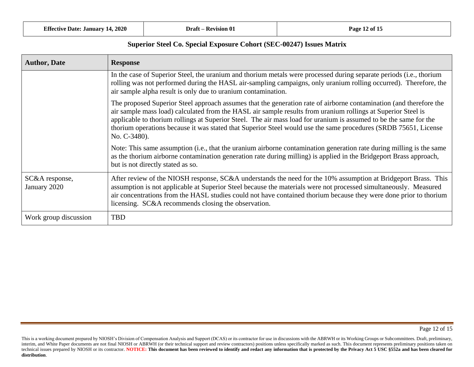| <b>Author, Date</b>            | <b>Response</b>                                                                                                                                                                                                                                                                                                                                                                                                                                                                            |
|--------------------------------|--------------------------------------------------------------------------------------------------------------------------------------------------------------------------------------------------------------------------------------------------------------------------------------------------------------------------------------------------------------------------------------------------------------------------------------------------------------------------------------------|
|                                | In the case of Superior Steel, the uranium and thorium metals were processed during separate periods (i.e., thorium<br>rolling was not performed during the HASL air-sampling campaigns, only uranium rolling occurred). Therefore, the<br>air sample alpha result is only due to uranium contamination.                                                                                                                                                                                   |
|                                | The proposed Superior Steel approach assumes that the generation rate of airborne contamination (and therefore the<br>air sample mass load) calculated from the HASL air sample results from uranium rollings at Superior Steel is<br>applicable to thorium rollings at Superior Steel. The air mass load for uranium is assumed to be the same for the<br>thorium operations because it was stated that Superior Steel would use the same procedures (SRDB 75651, License<br>No. C-3480). |
|                                | Note: This same assumption (i.e., that the uranium airborne contamination generation rate during milling is the same<br>as the thorium airborne contamination generation rate during milling) is applied in the Bridgeport Brass approach,<br>but is not directly stated as so.                                                                                                                                                                                                            |
| SC&A response,<br>January 2020 | After review of the NIOSH response, SC&A understands the need for the 10% assumption at Bridgeport Brass. This<br>assumption is not applicable at Superior Steel because the materials were not processed simultaneously. Measured<br>air concentrations from the HASL studies could not have contained thorium because they were done prior to thorium<br>licensing. SC&A recommends closing the observation.                                                                             |
| Work group discussion          | <b>TBD</b>                                                                                                                                                                                                                                                                                                                                                                                                                                                                                 |

This is a working document prepared by NIOSH's Division of Compensation Analysis and Support (DCAS) or its contractor for use in discussions with the ABRWH or its Working Groups or Subcommittees. Draft, preliminary, interim, and White Paper documents are not final NIOSH or ABRWH (or their technical support and review contractors) positions unless specifically marked as such. This document represents preliminary positions taken on technical issues prepared by NIOSH or its contractor. NOTICE: This document has been reviewed to identify and redact any information that is protected by the Privacy Act 5 USC §552a and has been cleared for **distribution**.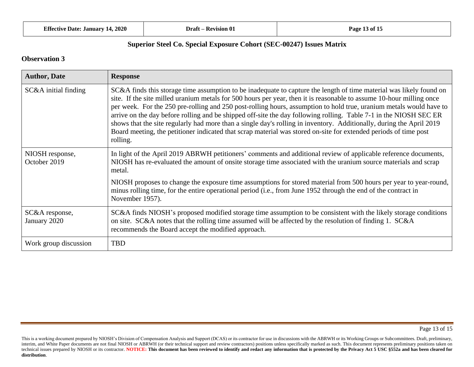| <b>Author, Date</b>             | <b>Response</b>                                                                                                                                                                                                                                                                                                                                                                                                                                                                                                                                                                                                                                                                                                                                 |
|---------------------------------|-------------------------------------------------------------------------------------------------------------------------------------------------------------------------------------------------------------------------------------------------------------------------------------------------------------------------------------------------------------------------------------------------------------------------------------------------------------------------------------------------------------------------------------------------------------------------------------------------------------------------------------------------------------------------------------------------------------------------------------------------|
| SC&A initial finding            | SC&A finds this storage time assumption to be inadequate to capture the length of time material was likely found on<br>site. If the site milled uranium metals for 500 hours per year, then it is reasonable to assume 10-hour milling once<br>per week. For the 250 pre-rolling and 250 post-rolling hours, assumption to hold true, uranium metals would have to<br>arrive on the day before rolling and be shipped off-site the day following rolling. Table 7-1 in the NIOSH SEC ER<br>shows that the site regularly had more than a single day's rolling in inventory. Additionally, during the April 2019<br>Board meeting, the petitioner indicated that scrap material was stored on-site for extended periods of time post<br>rolling. |
| NIOSH response,<br>October 2019 | In light of the April 2019 ABRWH petitioners' comments and additional review of applicable reference documents,<br>NIOSH has re-evaluated the amount of onsite storage time associated with the uranium source materials and scrap<br>metal.                                                                                                                                                                                                                                                                                                                                                                                                                                                                                                    |
|                                 | NIOSH proposes to change the exposure time assumptions for stored material from 500 hours per year to year-round,<br>minus rolling time, for the entire operational period (i.e., from June 1952 through the end of the contract in<br>November 1957).                                                                                                                                                                                                                                                                                                                                                                                                                                                                                          |
| SC&A response,<br>January 2020  | SC&A finds NIOSH's proposed modified storage time assumption to be consistent with the likely storage conditions<br>on site. SC&A notes that the rolling time assumed will be affected by the resolution of finding 1. SC&A<br>recommends the Board accept the modified approach.                                                                                                                                                                                                                                                                                                                                                                                                                                                               |
| Work group discussion           | <b>TBD</b>                                                                                                                                                                                                                                                                                                                                                                                                                                                                                                                                                                                                                                                                                                                                      |

This is a working document prepared by NIOSH's Division of Compensation Analysis and Support (DCAS) or its contractor for use in discussions with the ABRWH or its Working Groups or Subcommittees. Draft, preliminary, interim, and White Paper documents are not final NIOSH or ABRWH (or their technical support and review contractors) positions unless specifically marked as such. This document represents preliminary positions taken on technical issues prepared by NIOSH or its contractor. NOTICE: This document has been reviewed to identify and redact any information that is protected by the Privacy Act 5 USC §552a and has been cleared for **distribution**.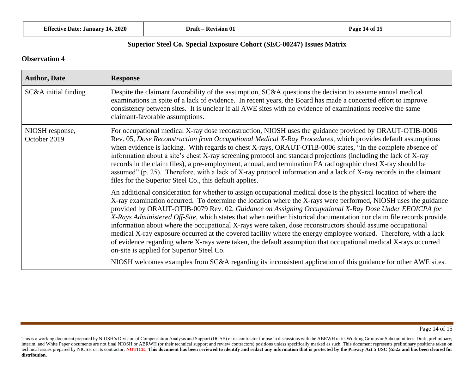| <b>Effective Date: January 14, 2020</b> |  |  |  |  |  |
|-----------------------------------------|--|--|--|--|--|
|-----------------------------------------|--|--|--|--|--|

| <b>Author, Date</b>             | <b>Response</b>                                                                                                                                                                                                                                                                                                                                                                                                                                                                                                                                                                                                                                                                                                                                                                                                                                                       |
|---------------------------------|-----------------------------------------------------------------------------------------------------------------------------------------------------------------------------------------------------------------------------------------------------------------------------------------------------------------------------------------------------------------------------------------------------------------------------------------------------------------------------------------------------------------------------------------------------------------------------------------------------------------------------------------------------------------------------------------------------------------------------------------------------------------------------------------------------------------------------------------------------------------------|
| SC&A initial finding            | Despite the claimant favorability of the assumption, SC&A questions the decision to assume annual medical<br>examinations in spite of a lack of evidence. In recent years, the Board has made a concerted effort to improve<br>consistency between sites. It is unclear if all AWE sites with no evidence of examinations receive the same<br>claimant-favorable assumptions.                                                                                                                                                                                                                                                                                                                                                                                                                                                                                         |
| NIOSH response,<br>October 2019 | For occupational medical X-ray dose reconstruction, NIOSH uses the guidance provided by ORAUT-OTIB-0006<br>Rev. 05, Dose Reconstruction from Occupational Medical X-Ray Procedures, which provides default assumptions<br>when evidence is lacking. With regards to chest X-rays, ORAUT-OTIB-0006 states, "In the complete absence of<br>information about a site's chest X-ray screening protocol and standard projections (including the lack of X-ray<br>records in the claim files), a pre-employment, annual, and termination PA radiographic chest X-ray should be<br>assumed" (p. 25). Therefore, with a lack of X-ray protocol information and a lack of X-ray records in the claimant<br>files for the Superior Steel Co., this default applies.                                                                                                             |
|                                 | An additional consideration for whether to assign occupational medical dose is the physical location of where the<br>X-ray examination occurred. To determine the location where the X-rays were performed, NIOSH uses the guidance<br>provided by ORAUT-OTIB-0079 Rev. 02, Guidance on Assigning Occupational X-Ray Dose Under EEOICPA for<br>X-Rays Administered Off-Site, which states that when neither historical documentation nor claim file records provide<br>information about where the occupational X-rays were taken, dose reconstructors should assume occupational<br>medical X-ray exposure occurred at the covered facility where the energy employee worked. Therefore, with a lack<br>of evidence regarding where X-rays were taken, the default assumption that occupational medical X-rays occurred<br>on-site is applied for Superior Steel Co. |
|                                 | NIOSH welcomes examples from SC&A regarding its inconsistent application of this guidance for other AWE sites.                                                                                                                                                                                                                                                                                                                                                                                                                                                                                                                                                                                                                                                                                                                                                        |

This is a working document prepared by NIOSH's Division of Compensation Analysis and Support (DCAS) or its contractor for use in discussions with the ABRWH or its Working Groups or Subcommittees. Draft, preliminary, interim, and White Paper documents are not final NIOSH or ABRWH (or their technical support and review contractors) positions unless specifically marked as such. This document represents preliminary positions taken on technical issues prepared by NIOSH or its contractor. NOTICE: This document has been reviewed to identify and redact any information that is protected by the Privacy Act 5 USC §552a and has been cleared for **distribution**.